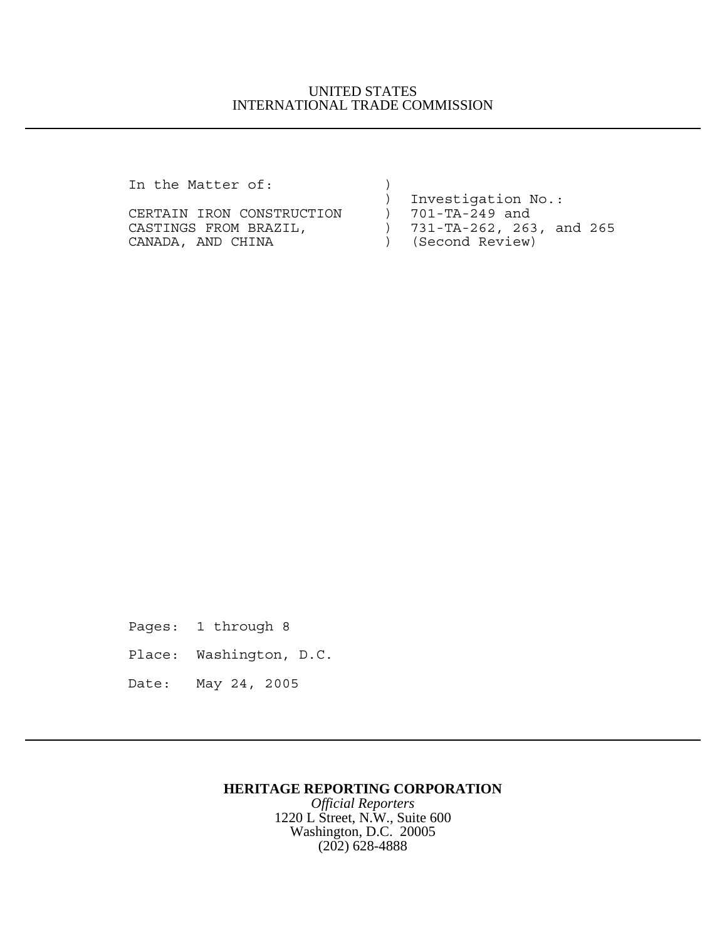## UNITED STATES INTERNATIONAL TRADE COMMISSION

In the Matter of: )

|                           | Investigation No.:             |
|---------------------------|--------------------------------|
| CERTAIN IRON CONSTRUCTION | 701-TA-249 and                 |
| CASTINGS FROM BRAZIL,     | $731 - TA - 262, 263, and 265$ |
| CANADA, AND CHINA         | ) (Second Review)              |
|                           |                                |

Pages: 1 through 8

- Place: Washington, D.C.
- Date: May 24, 2005

## **HERITAGE REPORTING CORPORATION**

*Official Reporters* 1220 L Street, N.W., Suite 600 Washington, D.C. 20005 (202) 628-4888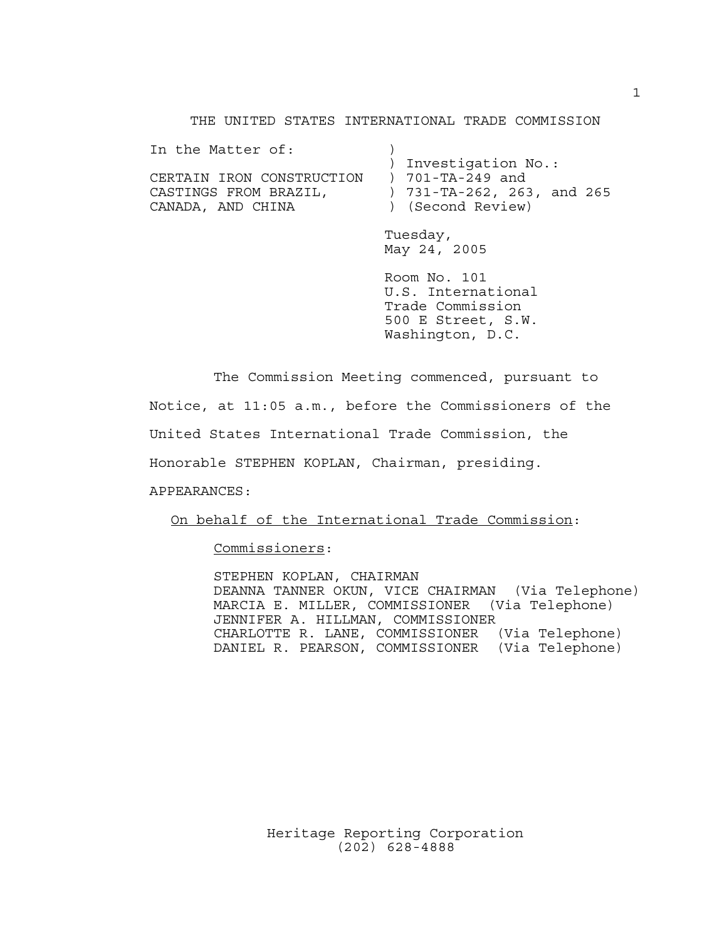THE UNITED STATES INTERNATIONAL TRADE COMMISSION

| In the Matter of:         |                                   |
|---------------------------|-----------------------------------|
|                           | ) Investigation No.:              |
| CERTAIN IRON CONSTRUCTION | ) 701-TA-249 and                  |
| CASTINGS FROM BRAZIL,     | ) $731 - TA - 262$ , 263, and 265 |
| CANADA, AND CHINA         | ) (Second Review)                 |
|                           |                                   |

Tuesday, May 24, 2005

Room No. 101 U.S. International Trade Commission 500 E Street, S.W. Washington, D.C.

The Commission Meeting commenced, pursuant to

Notice, at 11:05 a.m., before the Commissioners of the

United States International Trade Commission, the

Honorable STEPHEN KOPLAN, Chairman, presiding.

APPEARANCES:

On behalf of the International Trade Commission:

Commissioners:

STEPHEN KOPLAN, CHAIRMAN DEANNA TANNER OKUN, VICE CHAIRMAN (Via Telephone) MARCIA E. MILLER, COMMISSIONER (Via Telephone) JENNIFER A. HILLMAN, COMMISSIONER CHARLOTTE R. LANE, COMMISSIONER (Via Telephone) DANIEL R. PEARSON, COMMISSIONER (Via Telephone)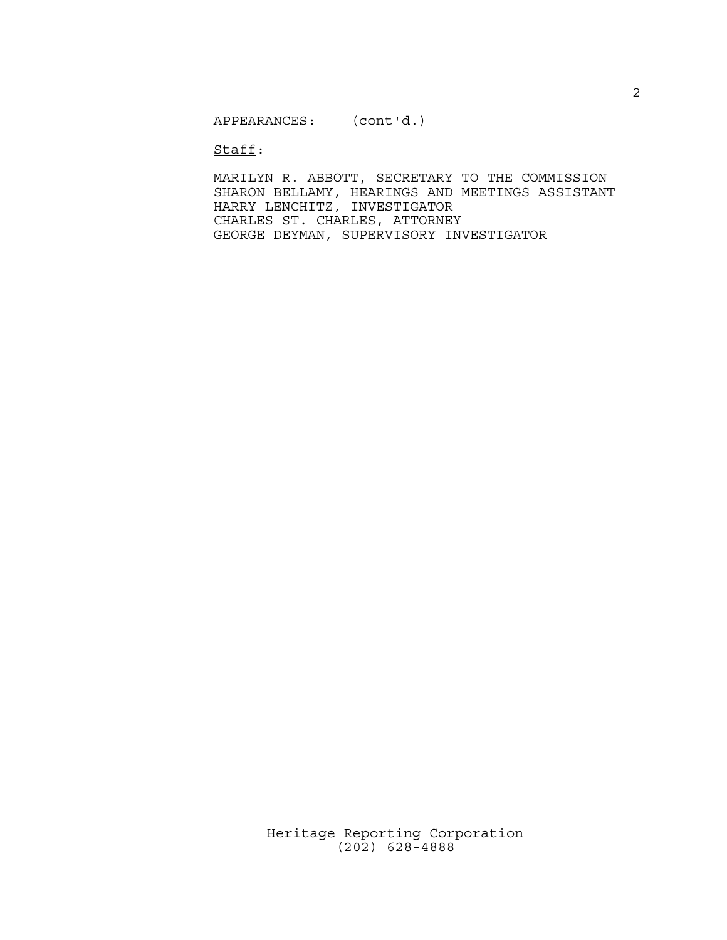Staff:

MARILYN R. ABBOTT, SECRETARY TO THE COMMISSION SHARON BELLAMY, HEARINGS AND MEETINGS ASSISTANT HARRY LENCHITZ, INVESTIGATOR CHARLES ST. CHARLES, ATTORNEY GEORGE DEYMAN, SUPERVISORY INVESTIGATOR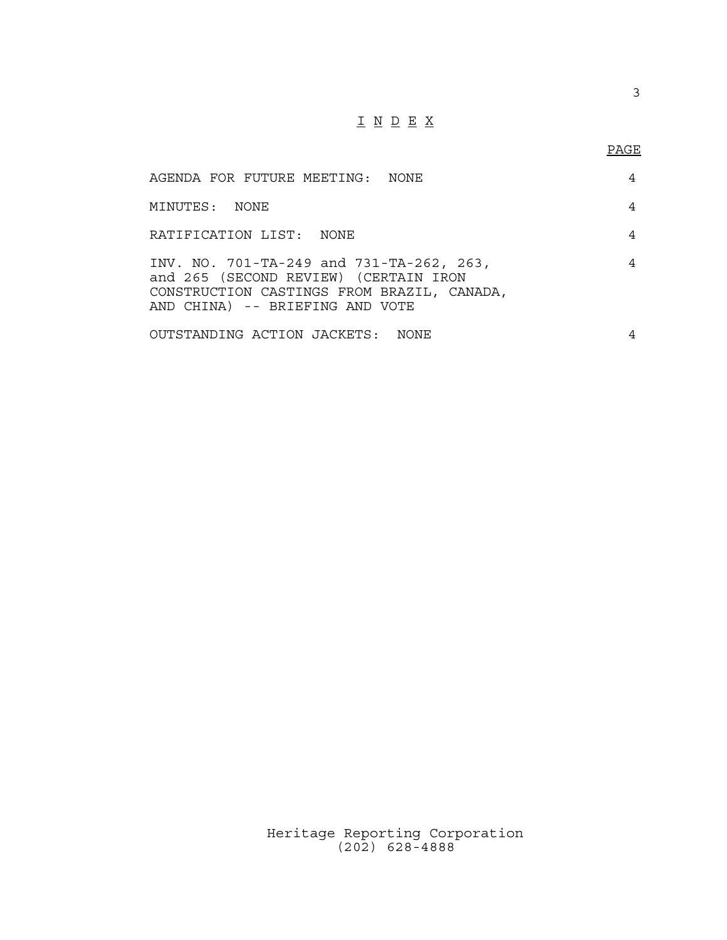## $\underline{\texttt{I}} \underline{\texttt{N}} \underline{\texttt{D}} \underline{\texttt{E}} \underline{\texttt{X}}$

3

| AGENDA FOR FUTURE MEETING: NONE                                                                                                                                    | 4 |  |
|--------------------------------------------------------------------------------------------------------------------------------------------------------------------|---|--|
| MINUTES: NONE                                                                                                                                                      | 4 |  |
| RATIFICATION LIST: NONE                                                                                                                                            | 4 |  |
| INV. NO. 701-TA-249 and 731-TA-262, 263,<br>and 265 (SECOND REVIEW) (CERTAIN IRON<br>CONSTRUCTION CASTINGS FROM BRAZIL, CANADA,<br>AND CHINA) -- BRIEFING AND VOTE | 4 |  |
| OUTSTANDING ACTION JACKETS: NONE                                                                                                                                   | 4 |  |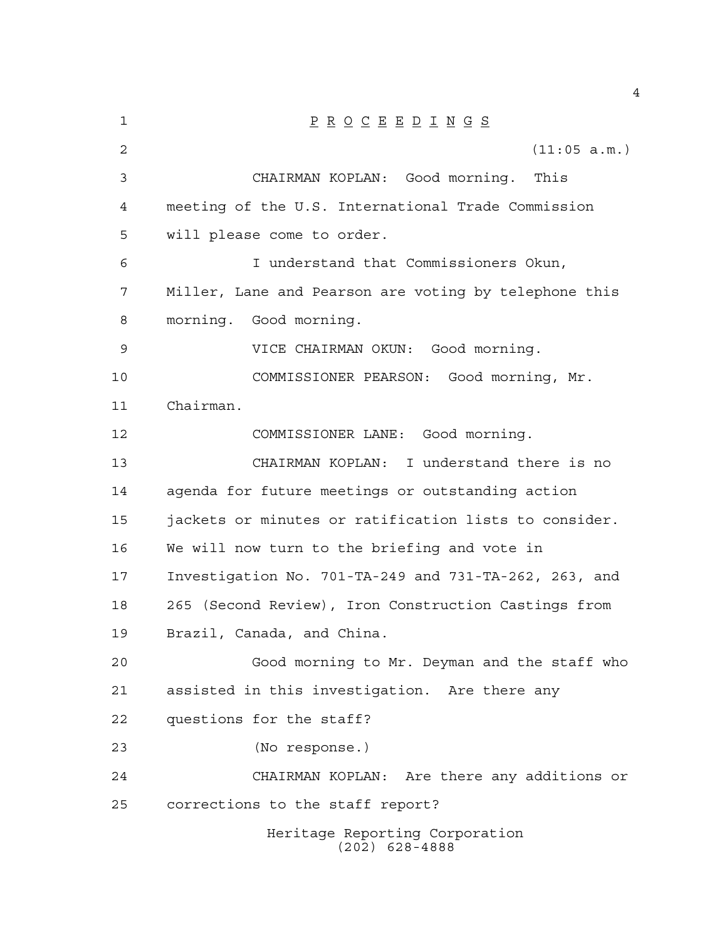| 1  | $\underline{P} \underline{R} \underline{O} \underline{C} \underline{E} \underline{E} \underline{D} \underline{I} \underline{N} \underline{G} \underline{S}$ |
|----|-------------------------------------------------------------------------------------------------------------------------------------------------------------|
| 2  | (11:05 a.m.)                                                                                                                                                |
| 3  | CHAIRMAN KOPLAN: Good morning. This                                                                                                                         |
| 4  | meeting of the U.S. International Trade Commission                                                                                                          |
| 5  | will please come to order.                                                                                                                                  |
| 6  | I understand that Commissioners Okun,                                                                                                                       |
| 7  | Miller, Lane and Pearson are voting by telephone this                                                                                                       |
| 8  | morning. Good morning.                                                                                                                                      |
| 9  | VICE CHAIRMAN OKUN: Good morning.                                                                                                                           |
| 10 | COMMISSIONER PEARSON: Good morning, Mr.                                                                                                                     |
| 11 | Chairman.                                                                                                                                                   |
| 12 | COMMISSIONER LANE: Good morning.                                                                                                                            |
| 13 | CHAIRMAN KOPLAN: I understand there is no                                                                                                                   |
| 14 | agenda for future meetings or outstanding action                                                                                                            |
| 15 | jackets or minutes or ratification lists to consider.                                                                                                       |
| 16 | We will now turn to the briefing and vote in                                                                                                                |
| 17 | Investigation No. 701-TA-249 and 731-TA-262, 263, and                                                                                                       |
| 18 | 265 (Second Review), Iron Construction Castings from                                                                                                        |
| 19 | Brazil, Canada, and China.                                                                                                                                  |
| 20 | Good morning to Mr. Deyman and the staff who                                                                                                                |
| 21 | assisted in this investigation. Are there any                                                                                                               |
| 22 | questions for the staff?                                                                                                                                    |
| 23 | (No response.)                                                                                                                                              |
| 24 | CHAIRMAN KOPLAN: Are there any additions or                                                                                                                 |
| 25 | corrections to the staff report?                                                                                                                            |
|    | Heritage Reporting Corporation<br>$(202)$ 628-4888                                                                                                          |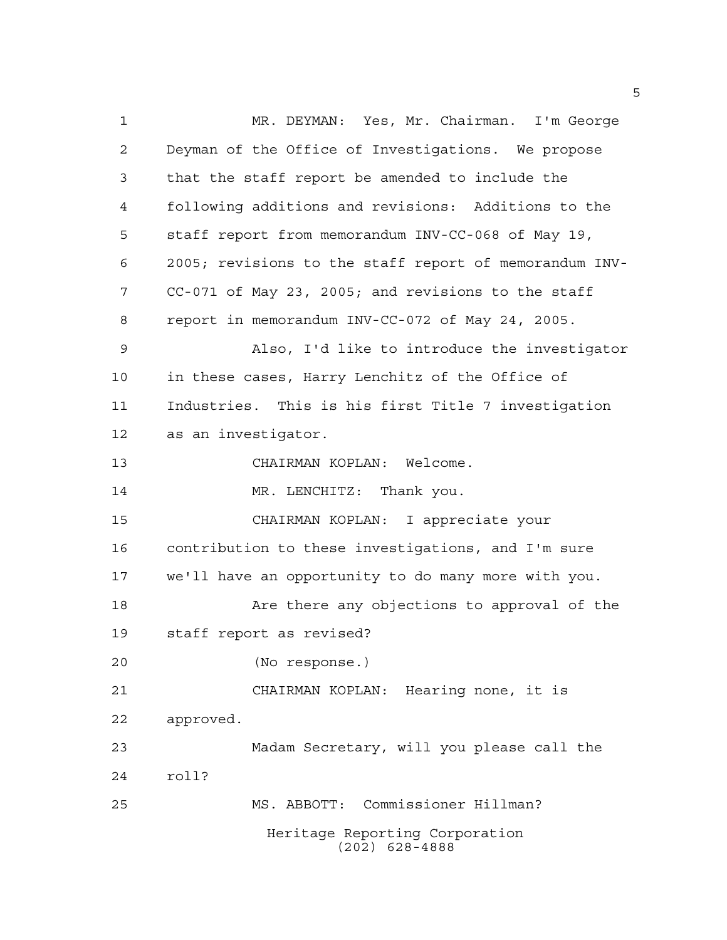MR. DEYMAN: Yes, Mr. Chairman. I'm George Deyman of the Office of Investigations. We propose that the staff report be amended to include the following additions and revisions: Additions to the staff report from memorandum INV-CC-068 of May 19, 2005; revisions to the staff report of memorandum INV- CC-071 of May 23, 2005; and revisions to the staff report in memorandum INV-CC-072 of May 24, 2005. Also, I'd like to introduce the investigator in these cases, Harry Lenchitz of the Office of Industries. This is his first Title 7 investigation as an investigator. CHAIRMAN KOPLAN: Welcome. 14 MR. LENCHITZ: Thank you. CHAIRMAN KOPLAN: I appreciate your contribution to these investigations, and I'm sure we'll have an opportunity to do many more with you. 18 Are there any objections to approval of the staff report as revised? (No response.) CHAIRMAN KOPLAN: Hearing none, it is approved. Madam Secretary, will you please call the roll? MS. ABBOTT: Commissioner Hillman? Heritage Reporting Corporation (202) 628-4888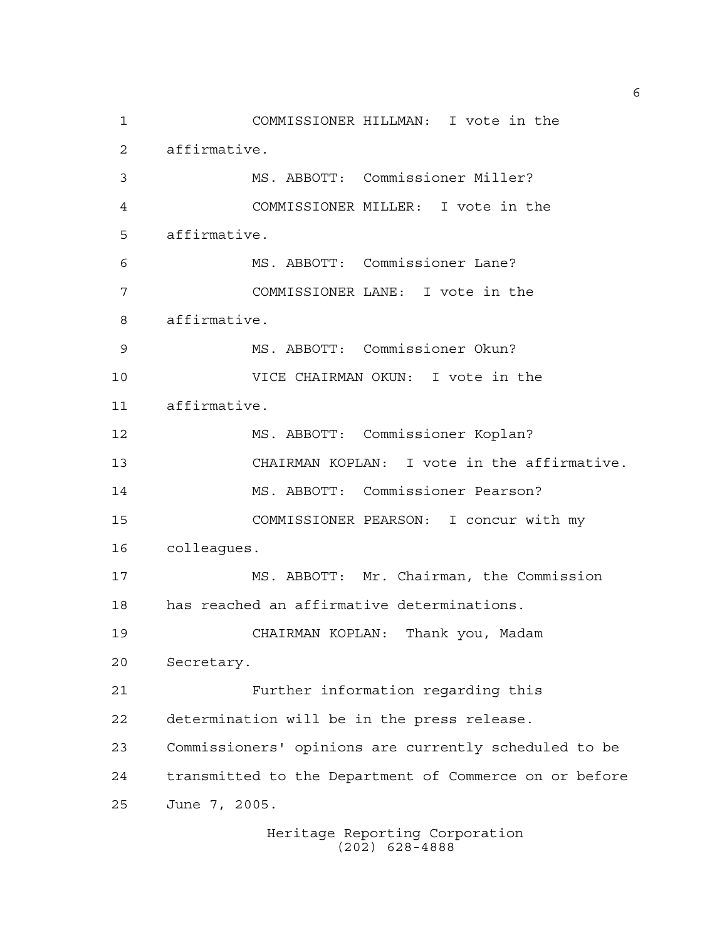COMMISSIONER HILLMAN: I vote in the affirmative. MS. ABBOTT: Commissioner Miller? COMMISSIONER MILLER: I vote in the affirmative. MS. ABBOTT: Commissioner Lane? COMMISSIONER LANE: I vote in the affirmative. MS. ABBOTT: Commissioner Okun? VICE CHAIRMAN OKUN: I vote in the affirmative. MS. ABBOTT: Commissioner Koplan? CHAIRMAN KOPLAN: I vote in the affirmative. MS. ABBOTT: Commissioner Pearson? COMMISSIONER PEARSON: I concur with my colleagues. MS. ABBOTT: Mr. Chairman, the Commission has reached an affirmative determinations. CHAIRMAN KOPLAN: Thank you, Madam Secretary. Further information regarding this determination will be in the press release. Commissioners' opinions are currently scheduled to be transmitted to the Department of Commerce on or before June 7, 2005.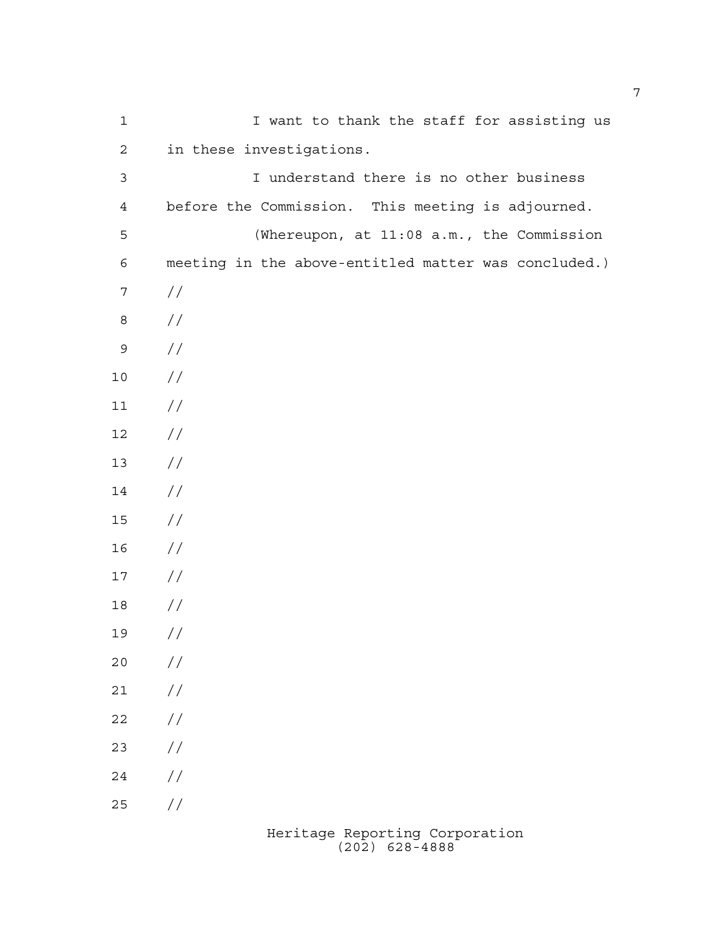| $1\,$            | I want to thank the staff for assisting us           |
|------------------|------------------------------------------------------|
| $\sqrt{2}$       | in these investigations.                             |
| $\mathsf 3$      | I understand there is no other business              |
| $\overline{4}$   | before the Commission. This meeting is adjourned.    |
| 5                | (Whereupon, at 11:08 a.m., the Commission            |
| $\epsilon$       | meeting in the above-entitled matter was concluded.) |
| $\boldsymbol{7}$ | //                                                   |
| $\,8\,$          | //                                                   |
| $\mathsf 9$      | $\frac{1}{2}$                                        |
| $10$             | $\frac{1}{2}$                                        |
| $11$             | //                                                   |
| 12               | $\frac{1}{2}$                                        |
| 13               | $\frac{1}{2}$                                        |
| 14               | $\frac{1}{2}$                                        |
| 15               | $\frac{1}{2}$                                        |
| 16               | //                                                   |
| $17$             | $\frac{1}{2}$                                        |
| 18               | //                                                   |
| 19               | //                                                   |
| 20               | $\frac{1}{2}$                                        |
| 21               | $\frac{1}{2}$                                        |
| 22               | $\frac{1}{2}$                                        |
| 23               | $\frac{1}{2}$                                        |
| 24               | $\frac{1}{2}$                                        |
| 25               | //                                                   |
|                  |                                                      |